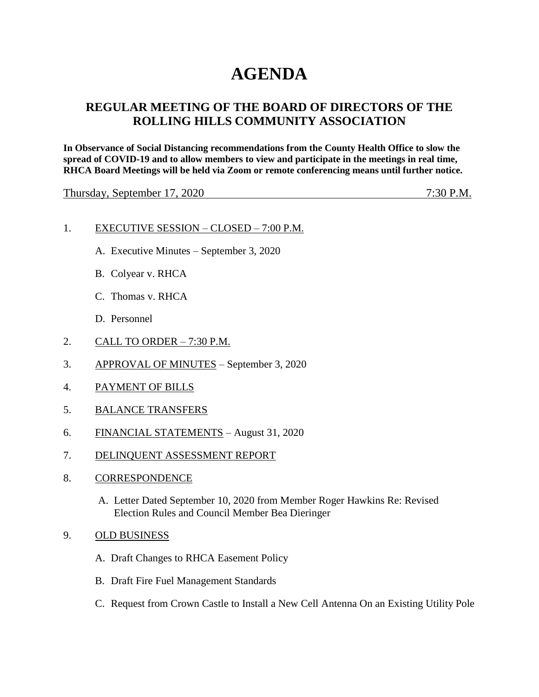## **AGENDA**

## **REGULAR MEETING OF THE BOARD OF DIRECTORS OF THE ROLLING HILLS COMMUNITY ASSOCIATION**

**In Observance of Social Distancing recommendations from the County Health Office to slow the spread of COVID-19 and to allow members to view and participate in the meetings in real time, RHCA Board Meetings will be held via Zoom or remote conferencing means until further notice.** 

Thursday, September 17, 2020 7:30 P.M.

## 1. EXECUTIVE SESSION – CLOSED – 7:00 P.M.

- A. Executive Minutes September 3, 2020
- B. Colyear v. RHCA
- C. Thomas v. RHCA
- D. Personnel
- 2. CALL TO ORDER 7:30 P.M.
- 3. APPROVAL OF MINUTES September 3, 2020
- 4. PAYMENT OF BILLS
- 5. BALANCE TRANSFERS
- 6. FINANCIAL STATEMENTS August 31, 2020
- 7. DELINQUENT ASSESSMENT REPORT
- 8. CORRESPONDENCE
	- A. Letter Dated September 10, 2020 from Member Roger Hawkins Re: Revised Election Rules and Council Member Bea Dieringer
- 9. OLD BUSINESS
	- A. Draft Changes to RHCA Easement Policy
	- B. Draft Fire Fuel Management Standards
	- C. Request from Crown Castle to Install a New Cell Antenna On an Existing Utility Pole